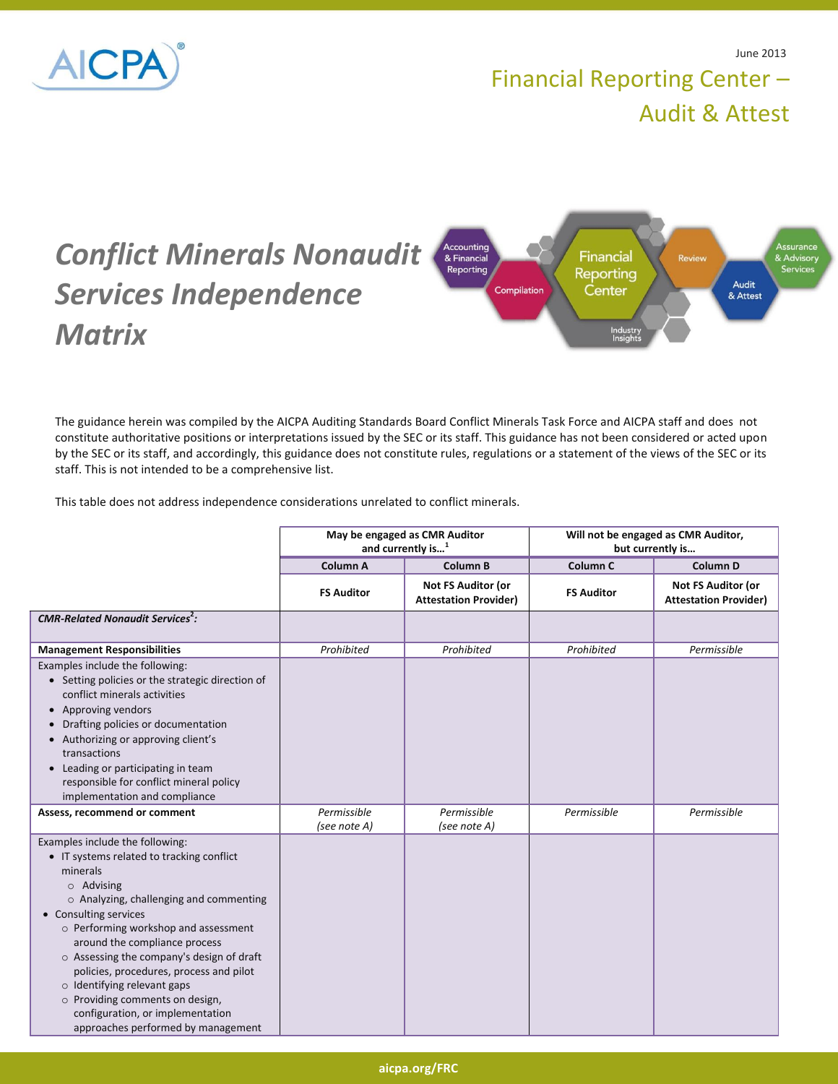

## Financial Reporting Center – Audit & Attest



The guidance herein was compiled by the AICPA Auditing Standards Board Conflict Minerals Task Force and AICPA staff and does not constitute authoritative positions or interpretations issued by the SEC or its staff. This guidance has not been considered or acted upon by the SEC or its staff, and accordingly, this guidance does not constitute rules, regulations or a statement of the views of the SEC or its staff. This is not intended to be a comprehensive list.

This table does not address independence considerations unrelated to conflict minerals.

|                                                                                                                                                                                                                                                                                                                                                                                                                                                                                                           | May be engaged as CMR Auditor<br>and currently is <sup>1</sup> |                                                    | Will not be engaged as CMR Auditor,<br>but currently is |                                                    |
|-----------------------------------------------------------------------------------------------------------------------------------------------------------------------------------------------------------------------------------------------------------------------------------------------------------------------------------------------------------------------------------------------------------------------------------------------------------------------------------------------------------|----------------------------------------------------------------|----------------------------------------------------|---------------------------------------------------------|----------------------------------------------------|
|                                                                                                                                                                                                                                                                                                                                                                                                                                                                                                           | Column A                                                       | <b>Column B</b>                                    | Column <sub>C</sub>                                     | Column <sub>D</sub>                                |
|                                                                                                                                                                                                                                                                                                                                                                                                                                                                                                           | <b>FS Auditor</b>                                              | Not FS Auditor (or<br><b>Attestation Provider)</b> | <b>FS Auditor</b>                                       | Not FS Auditor (or<br><b>Attestation Provider)</b> |
| <b>CMR-Related Nonaudit Services<sup>2</sup>:</b>                                                                                                                                                                                                                                                                                                                                                                                                                                                         |                                                                |                                                    |                                                         |                                                    |
| <b>Management Responsibilities</b>                                                                                                                                                                                                                                                                                                                                                                                                                                                                        | Prohibited                                                     | Prohibited                                         | Prohibited                                              | Permissible                                        |
| Examples include the following:<br>• Setting policies or the strategic direction of<br>conflict minerals activities<br>• Approving vendors<br>• Drafting policies or documentation<br>• Authorizing or approving client's<br>transactions<br>• Leading or participating in team<br>responsible for conflict mineral policy<br>implementation and compliance                                                                                                                                               |                                                                |                                                    |                                                         |                                                    |
| Assess, recommend or comment                                                                                                                                                                                                                                                                                                                                                                                                                                                                              | Permissible<br>(see note A)                                    | Permissible<br>(see note A)                        | Permissible                                             | Permissible                                        |
| Examples include the following:<br>• IT systems related to tracking conflict<br>minerals<br>$\circ$ Advising<br>$\circ$ Analyzing, challenging and commenting<br>• Consulting services<br>o Performing workshop and assessment<br>around the compliance process<br>o Assessing the company's design of draft<br>policies, procedures, process and pilot<br>$\circ$ Identifying relevant gaps<br>o Providing comments on design,<br>configuration, or implementation<br>approaches performed by management |                                                                |                                                    |                                                         |                                                    |